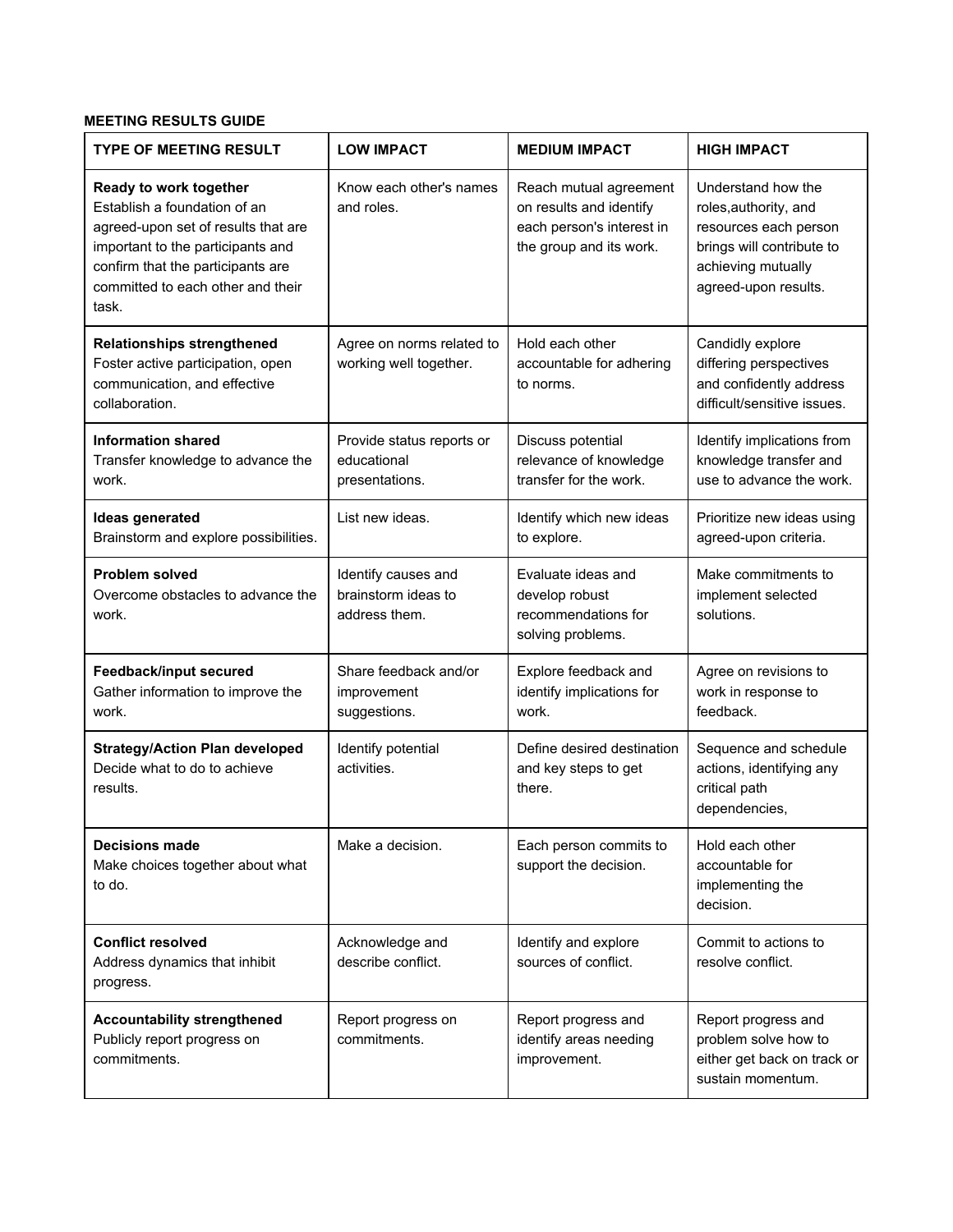## **MEETING RESULTS GUIDE**

| <b>TYPE OF MEETING RESULT</b>                                                                                                                                                                                         | <b>LOW IMPACT</b>                                           | <b>MEDIUM IMPACT</b>                                                                                      | <b>HIGH IMPACT</b>                                                                                                                              |
|-----------------------------------------------------------------------------------------------------------------------------------------------------------------------------------------------------------------------|-------------------------------------------------------------|-----------------------------------------------------------------------------------------------------------|-------------------------------------------------------------------------------------------------------------------------------------------------|
| Ready to work together<br>Establish a foundation of an<br>agreed-upon set of results that are<br>important to the participants and<br>confirm that the participants are<br>committed to each other and their<br>task. | Know each other's names<br>and roles.                       | Reach mutual agreement<br>on results and identify<br>each person's interest in<br>the group and its work. | Understand how the<br>roles, authority, and<br>resources each person<br>brings will contribute to<br>achieving mutually<br>agreed-upon results. |
| <b>Relationships strengthened</b><br>Foster active participation, open<br>communication, and effective<br>collaboration.                                                                                              | Agree on norms related to<br>working well together.         | Hold each other<br>accountable for adhering<br>to norms.                                                  | Candidly explore<br>differing perspectives<br>and confidently address<br>difficult/sensitive issues.                                            |
| <b>Information shared</b><br>Transfer knowledge to advance the<br>work.                                                                                                                                               | Provide status reports or<br>educational<br>presentations.  | Discuss potential<br>relevance of knowledge<br>transfer for the work.                                     | Identify implications from<br>knowledge transfer and<br>use to advance the work.                                                                |
| <b>Ideas generated</b><br>Brainstorm and explore possibilities.                                                                                                                                                       | List new ideas.                                             | Identify which new ideas<br>to explore.                                                                   | Prioritize new ideas using<br>agreed-upon criteria.                                                                                             |
| <b>Problem solved</b><br>Overcome obstacles to advance the<br>work.                                                                                                                                                   | Identify causes and<br>brainstorm ideas to<br>address them. | Evaluate ideas and<br>develop robust<br>recommendations for<br>solving problems.                          | Make commitments to<br>implement selected<br>solutions.                                                                                         |
| <b>Feedback/input secured</b><br>Gather information to improve the<br>work.                                                                                                                                           | Share feedback and/or<br>improvement<br>suggestions.        | Explore feedback and<br>identify implications for<br>work.                                                | Agree on revisions to<br>work in response to<br>feedback.                                                                                       |
| <b>Strategy/Action Plan developed</b><br>Decide what to do to achieve<br>results.                                                                                                                                     | Identify potential<br>activities.                           | Define desired destination<br>and key steps to get<br>there.                                              | Sequence and schedule<br>actions, identifying any<br>critical path<br>dependencies,                                                             |
| <b>Decisions made</b><br>Make choices together about what<br>to do.                                                                                                                                                   | Make a decision.                                            | Each person commits to<br>support the decision.                                                           | Hold each other<br>accountable for<br>implementing the<br>decision.                                                                             |
| <b>Conflict resolved</b><br>Address dynamics that inhibit<br>progress.                                                                                                                                                | Acknowledge and<br>describe conflict.                       | Identify and explore<br>sources of conflict.                                                              | Commit to actions to<br>resolve conflict.                                                                                                       |
| <b>Accountability strengthened</b><br>Publicly report progress on<br>commitments.                                                                                                                                     | Report progress on<br>commitments.                          | Report progress and<br>identify areas needing<br>improvement.                                             | Report progress and<br>problem solve how to<br>either get back on track or<br>sustain momentum.                                                 |